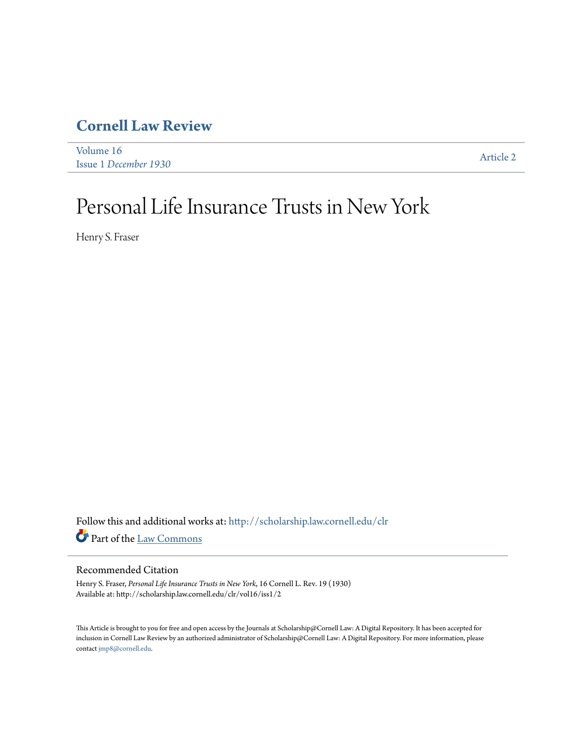# **[Cornell Law Review](http://scholarship.law.cornell.edu/clr?utm_source=scholarship.law.cornell.edu%2Fclr%2Fvol16%2Fiss1%2F2&utm_medium=PDF&utm_campaign=PDFCoverPages)**

[Volume 16](http://scholarship.law.cornell.edu/clr/vol16?utm_source=scholarship.law.cornell.edu%2Fclr%2Fvol16%2Fiss1%2F2&utm_medium=PDF&utm_campaign=PDFCoverPages) Issue 1 *[December 1930](http://scholarship.law.cornell.edu/clr/vol16/iss1?utm_source=scholarship.law.cornell.edu%2Fclr%2Fvol16%2Fiss1%2F2&utm_medium=PDF&utm_campaign=PDFCoverPages)* [Article 2](http://scholarship.law.cornell.edu/clr/vol16/iss1/2?utm_source=scholarship.law.cornell.edu%2Fclr%2Fvol16%2Fiss1%2F2&utm_medium=PDF&utm_campaign=PDFCoverPages)

# Personal Life Insurance Trusts in New York

Henry S. Fraser

Follow this and additional works at: [http://scholarship.law.cornell.edu/clr](http://scholarship.law.cornell.edu/clr?utm_source=scholarship.law.cornell.edu%2Fclr%2Fvol16%2Fiss1%2F2&utm_medium=PDF&utm_campaign=PDFCoverPages) Part of the [Law Commons](http://network.bepress.com/hgg/discipline/578?utm_source=scholarship.law.cornell.edu%2Fclr%2Fvol16%2Fiss1%2F2&utm_medium=PDF&utm_campaign=PDFCoverPages)

# Recommended Citation

Henry S. Fraser, *Personal Life Insurance Trusts in New York*, 16 Cornell L. Rev. 19 (1930) Available at: http://scholarship.law.cornell.edu/clr/vol16/iss1/2

This Article is brought to you for free and open access by the Journals at Scholarship@Cornell Law: A Digital Repository. It has been accepted for inclusion in Cornell Law Review by an authorized administrator of Scholarship@Cornell Law: A Digital Repository. For more information, please contact [jmp8@cornell.edu.](mailto:jmp8@cornell.edu)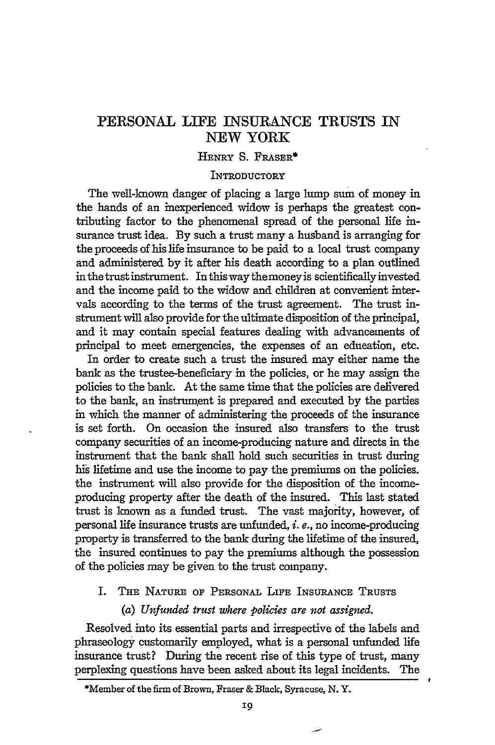# PERSONAL **LIFE INSURANCE** TRUSTS IN NEW YORK

#### HENRY **S.** FRASER\*

#### **INTRODUCTORY**

The well-known danger of placing a large lump sum of money in the hands of an inexperienced widow is perhaps the greatest contributing factor to the phenomenal spread of the personal life insurance trust idea. By such a trust many a husband is arranging for the proceeds of his life insurance to be paid to a local trust company and administered by it after his death according to a plan outlined in the trust instrument. In this way the money is scientifically invested and the income paid to the widow and children at convenient intervals according to the terms of the trust agreement. The trust instrument will also provide for the ultimate disposition of the principal, and it may contain special features dealing with advancements of principal to meet emergencies, the expenses of an education, etc.

In order to create such a trust the insured may either name the bank as the trustee-beneficiary in the policies, or he may assign the policies to the bank. At the same time that the policies are delivered to the bank, an instrunent is prepared and executed by the parties in which the manner of administering the proceeds of the insurance is set forth. On occasion the insured also transfers to the trust company securities of an income-producing nature and directs in the instrument that the bank shall hold such securities in trust during his lifetime and use the income to pay the premiums on the policies. the instrument will also provide for the disposition of the incomeproducing property after the death of the insured. This last stated trust is known as a funded trust. The vast majority, however, of personal life insurance trusts are unfunded, *i.* **e.,** no income-producing property is transferred to the bank during the lifetime of the insured, the insured continues to pay the premiums although the possession of the policies may be given to the trust company.

# I. **THE NATURE OF PERSONAL LIFE INSURANCE** TRUSTS

#### *(a) Unfunded trust where policies are not assigned.*

Resolved into its essential parts and irrespective of the labels and phraseology customarily employed, what is a personal unfunded life insurance trust? During the recent rise of this type of trust, many perplexing questions have been asked about its legal incidents. The

<sup>\*</sup>Member of **the** firm of Brown, Fraser **&** Black, Syracuse, **N. Y.**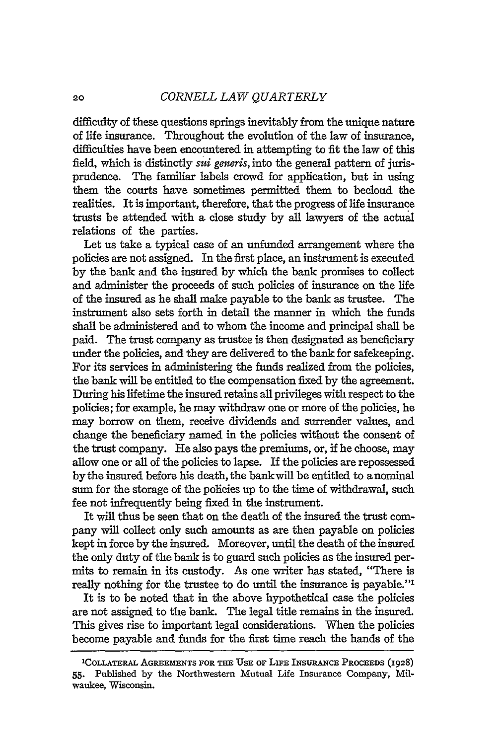difficulty of these questions springs inevitably from the unique nature of life insurance. Throughout the evolution of the law of insurance, difficulties have been encountered in attempting to fit the law of this field, which is distinctly *sui generis,* into the general pattern of jurisprudence. The familiar labels crowd for application, but in using them the courts have sometimes permitted them to becloud the realities. It is important, therefore, that the progress of life insurance trusts be attended with a close study by all lawyers of the actual relations of the parties.

Let us take a typical case of an unfunded arrangement where the policies are not assigned. In the first place, an instrument is executed **by** the bank and the insured **by** which the bank promises to collect and administer the proceeds of such policies of insurance on the life of the insured as he shall make payable to the bank as trustee. The instrument also sets forth in detail the manner in which the funds shall be administered and to whom the income and principal shall be paid. The trust company as trustee is then designated as beneficiary under the policies, and they are delivered to the bank for safekeeping. For its services in administering the funds realized from the policies, the bank will be entitled to the compensation fixed **by** the agreement. During his lifetime the insured retains all privileges with respect to the policies; for example, he may withdraw one or more of the policies, he may borrow on them, receive dividends and surrender values, and change the beneficiary named in the policies without the consent of the trust company. **He** also pays the premiums, or, if he choose, may allow one or all of the policies to lapse. If the policies are repossessed by the insured before his death, the bank will be entitled to a nominal sum for the storage of the policies up to the time of withdrawal, such fee not infrequently being fixed in the instrument.

It will thus be seen that on the death of the insured the trust company will collect only such amounts as are then payable on policies kept in force by the insured. Moreover, until the death of the insured the only duty of the bank is to guard such policies as the insured permits to remain in its custody. As one writer has stated, "There is really nothing for the trustee to do until the insurance is payable."'

It is to be noted that in the above hypothetical case the policies are not assigned to the bank. The legal title remains in the insured. This gives rise to important legal considerations. When the policies become payable and funds for the first time reach the hands of the

<sup>&#</sup>x27;COLLATERAL **AGREEMENTS** FOR **THE USE** OF **LiE** INSuRANCE PROCEEDS (1928) **55.** Published by the Northwestern Mutual Life Insurance Company, Milwaukee, Wisconsin.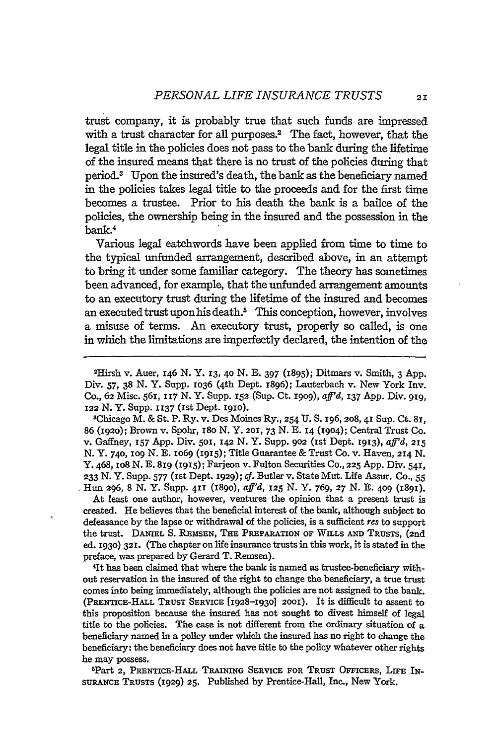trust company, it is probably true that such funds are impressed with a trust character for all purposes.<sup>2</sup> The fact, however, that the legal title in the policies does not pass to the bank during the lifetime of the insured means that there is no trust of the policies during that period.3 Upon the insured's death, the bank as the beneficiary named in the policies takes legal title to the proceeds and for the first time becomes a trustee. Prior to his death the bank is a bailee of the policies, the ownership being in the insured and the possession in the bank.4

Various legal catchwords have been applied from time to time to the typical unfunded arrangement, described above, in an attempt to bring it under some familiar category. The theory has sometimes been advanced, for example, that the unfunded arrangement amounts to an executory trust during the lifetime of the insured and becomes an executed trust upon his death.<sup>5</sup> This conception, however, involves a misuse of terms. An executory trust, properly so called, is one in which the limitations are imperfectly declared, the intention of the

2 Hirsh v. Auer, 146 N. Y. **13, 40** N. **E.** 397 (1895); Ditmars v. Smith, 3 App. Div. 57, 38 N.Y. Supp. 1036 (4th Dept. 1896); Lauterbach v. New York Inv. Co., **62** Misc. **561, 117 N.** Y. Supp. **152** (Sup. Ct. **I909),** *aff'd,* **137** App. Div. **919, 122 N.** Y. Supp. **1137 (Ist** Dept. **19IO).**

3 Chicago M. **&** St. P. Ry. v. Des Moines Ry., **254 U.** S. **196,208,41** Sup. Ct. **8I, 86** (1920); Brown v. Spohr, I8o **N.** Y. **201, 73 N. E. 14 (19o4);** Central Trust Co. v. Gaffney, **157** App. Div. **501, 142 N.** Y. Supp. **902** (Ist Dept. I913), *aff'd,* 215 **N. Y.** 740, **IO9 N. E. lO69** (1915); Title Guarantee & Trust Co. v. Haven, 214 **N.** Y. 468, lO8 **N. E. 819 (1915);** Farjeon v. Fulton Securities **Co., 225 App.** Div. 541, **233 N.** Y. Supp. 577 (Ist Dept. **1929);** *cf.* Butler v. State Mut. Life Assur. Co., **55** Hun **296,** 8 N. Y. Supp. **411 (189o),** *aff'd, 125* **N. Y.** 769, **27** N. **E. 409 (1891).**

At least one author, however, ventures the opinion that a present trust is created. He believes that the beneficial interest of the bank, although subject to defeasance by the lapse or withdrawal of the policies, is a sufficient *res* to support the trust. **DANIEL S. REMSEN, THE PREPARATION OF WILLS AND TRUSTS,** (2nd ed. **1930) 321.** (The chapter on life insurance trusts in this work, it is stated in the preface, was prepared **by** Gerard T. Remsen). <sup>4</sup>

1t has been claimed that where the bank is named as trustee-beneficiary without reservation in the insured of the right to change the beneficiary, a true trust comes into being immediately, although the policies are not assigned to the bank. (PRENTICE-HALL **TRUST SERVICE** [1928-1930] **2001).** It is difficult to assent to this proposition because the insured has not sought to divest himself of legal title to the policies. The case is not different from the ordinary situation of a beneficiary named in a policy under which the insured has no right to change the beneficiary: the beneficiary does not have title to the policy whatever other rights he may possess.

Part **2, PRENTICE-HALL TRAINING SERVICE FOR TRUST OFFICERS, LIFE** IN-SURANCE **TRUSTS (1929) 25.** Published **by** Prentice-Hall, Inc., New York.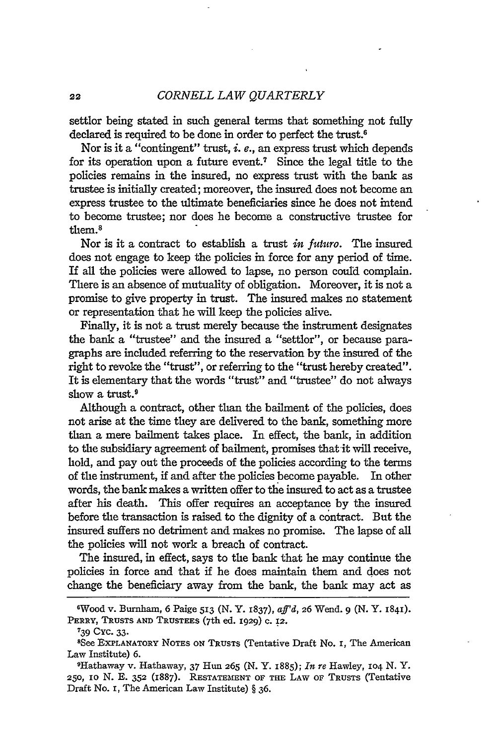#### *CORNELL LAW QUARTERLY*

settlor being stated in such general terms that something not fully declared is required to **be** done in order to perfect the trust.6

Nor is it a "contingent" trust, *i. e.,* an express trust which depends for its operation upon a future event.' Since the legal title to the policies remains in the insured, no express trust with the bank as trustee is initially created; moreover, the insured does not become an express trustee to the ultimate beneficiaries since he does not intend to become trustee; nor does he become a constructive trustee for them.<sup>8</sup>

Nor is it a contract to establish a trust *in futuro.* The insured does not engage to keep the policies in force for any period of time. If all the policies were allowed to lapse, no person could complain. There is an absence of mutuality of obligation. Moreover, it is not a promise to give property in trust. The insured makes no statement or representation that he will keep the policies alive.

Finally, it is not a trust merely because the instrument designates the bank a "trustee" and the insured a "settlor", or because paragraphs are included referring to the reservation by the insured of the right to revoke the "trust", or referring to the "trust hereby created". It is elementary that the words "trust" and "trustee" do not always show a trust.<sup>9</sup>

Although a contract, other than the bailment of the policies, does not arise at the time they are delivered to the bank, something more than a mere bailment takes place. In effect, the bank, in addition to the subsidiary agreement of bailment, promises that it will receive, hold, and pay out the proceeds of the policies according to the terms of the instrument, if and after the policies become payable. In other words, the bank makes a written offer to the insured to act as a trustee after his death. This offer requires an acceptance by the insured before the transaction is raised to the dignity of a contract. But the insured suffers no detriment and makes no promise. The lapse of all the policies will not work a breach of contract.

The insured, in effect, says to the bank that he may continue the policies in force and that if he does maintain them and does not change the beneficiary away from the bank, the bank may act as

**739** Cyc. 33.

<sup>&#</sup>x27;Wood v. Burnham, 6 Paige **513** (N. Y. 1837), *aff'd,* **26** Wend. 9 (N. Y. **184).** PERRY, **TRUSTS AND TRUSTEES** (7th ed. 1929) **C.** 12.

<sup>8</sup>See **EXPLANATORY NOTES** ON **TRUSTS** (Tentative Draft **No. i,** The American **Law** Institute) **6.**

<sup>9</sup>Hathaway v. Hathaway, **37 Hun 265** (N. Y. 1885); *In* re Hawley, IO4 N. Y. **250,** io N. E. **352** (1887). **RESTATEMENT** OF **THE** LAW **OF TRUSTS** (Tentative Draft No. i, The American **Law** Institute) § **36.**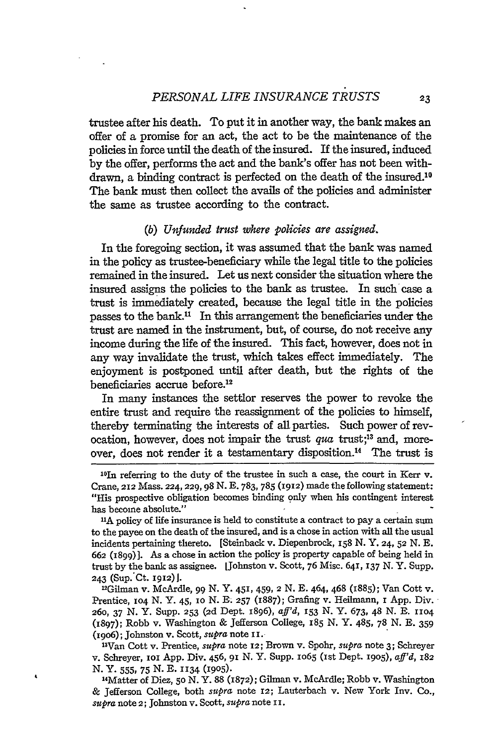trustee after his death. To put it in another way, the bank makes an offer of a promise for an act, the act to be the maintenance of the policies in force until the death of the insured. If the insured, induced by the offer, performs the act and the bank's offer has not been withdrawn, a binding contract is perfected on the death of the insured.<sup>10</sup> The bank must then collect the avails of the policies and administer the same as trustee according to the contract.

#### *(b) Unfunded trust where policies are assigned.*

In the foregoing section, it was assumed that the bank was named in the policy as trustee-beneficiary while the legal title to the policies remained in the insured. Let us next consider the situation where the insured assigns the policies to the bank as trustee. In such case a trust is immediately created, because the legal title in the policies passes to the bank." In this arrangement the beneficiaries under the trust are named in the instrument, but, of course, do not receive any income during the life of the insured. This fact, however, does not in any way invalidate the trust, which takes effect immediately. The enjoyment is postponed until after death, but the rights of the beneficiaries accrue before.<sup>12</sup>

In many instances the settlor reserves the power to revoke the entire trust and require the reassignment of the policies to himself, thereby terminating the interests of all parties. Such power of revocation, however, does not impair the trust *qua* trust;13 and, moreover, does not render it a testamentary disposition.<sup>14</sup> The trust is

Gilman v. McArdle, 99 N. Y. 451, 459, 2 N. E. 464, 468 (1885); Van Cott v. Prentice, 104 N. Y. 45, 10 N. E. 257 (1887); Grafing v. Heilmann, 1 App. Div. 26o, 37 N. Y. Supp. **253** (2d Dept. 1896), *aft'd,* 153 N. Y. 673, 48 N. **E.** 1io4 (1897); Robb v. Washington & Jefferson College, 185 N. Y. 485, 78 N. **E.** 359 (i9o6); Johnston v. Scott, *supra* note i i.

3 Van Cott v. Prentice, *supra* note *12;* Brown v. Spohr, *supra* note 3; Schreyer v. Schreyer, **iOl** App. Div. 456, 91 N. Y. Supp. 1o65 (ist Dept. **1905),** *affd, <sup>182</sup>* N. Y. 555, 75 N. E. **1134** (1905).

14 Matter of Dies, **50 N.** Y. 88 (1872); Gilman v. McArdle; Robb v. Washington & Jefferson College, both *supra* note *12;* Lauterbach v. New York Inv. Co., *supra* note *2;* Johnston v. Scott, *supra* note **II.**

<sup>10</sup> In referring to the duty of the trustee in such a case, the court in Kerr v. Crane, 212 Mass. 224, 229, 98 N. E. 783, 785 (1912) made the following statement: "His prospective obligation becomes binding only when his contingent interest has become absolute."

**<sup>&</sup>quot;A** policy of life insurance is held to constitute a contract to pay a certain sum to the payee on the death of the insured, and is a chose in action with all the usual incidents pertaining thereto. [Steinback v. Diepenbrock,  $158$  N. Y. 24,  $52$  N. E. 662 (1899)]. As a chose in action the policy is property capable of being held in trust by the bank as assignee. [Johnston v. Scott, 76 Misc. 641, 137 N. Y. Supp. 243 (Sup. Ct. 1912).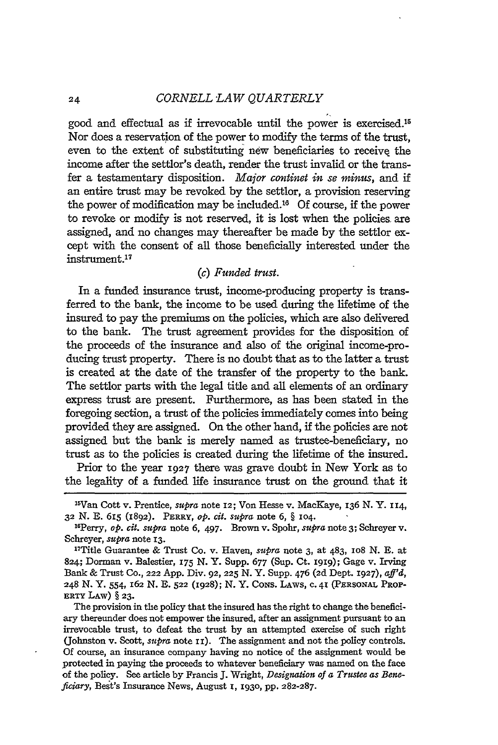*CORNELL LAW QUARTERLY*

good and effectual as if irrevocable until the power is exercised.<sup>15</sup> Nor does a reservation of the power to modify the terms of the trust, even to the extent of substituting new beneficiaries to receive the income after the settlor's death, render the trust invalid or the transfer a testamentary disposition. *Major continet in se minus,* and if an entire trust may be revoked **by** the settlor, a provision reserving the power of modification may be included.<sup>16</sup> Of course, if the power to revoke or modify is not reserved, it is lost when the policies. are assigned, and no changes may thereafter be made **by** the settlor except with the consent of all those beneficially interested under the instrument. <sup>17</sup>

#### *(c) Funded trust.*

In a funded insurance trust, income-producing property is transferred to the bank, the income to be used during the lifetime of the insured to pay the premiums on the policies, which are also delivered to the bank. The trust agreement provides for the disposition of the proceeds of the insurance and also of the original income-producing trust property. There is no doubt that as to the latter a trust is created at the date of the transfer of the property to the bank. The settlor parts with the legal title and all elements of an ordinary express trust are present. Furthermore, as has been stated in the foregoing section, a trust of the policies immediately comes into being provided they are assigned. On the other hand, if the policies are not assigned but the bank is merely named as trustee-beneficiary, no trust as to the policies is created during the lifetime of the insured.

Prior to the year 1927 there was grave doubt in New York as to the legality of a funded life insurance trust on the ground that it

The provision in the policy that the insured has the right to change the beneficiary thereunder does not empower the insured, after an assignment pursuant to an irrevocable trust, to defeat the trust **by** an attempted exercise of such right (Johnston v. Scott, *supra* note **ii).** The assignment and not the policy controls. **Of** course, an insurance company having no notice of the assignment would be protected in paying the proceeds to whatever beneficiary was named on the face of the policy. See article by Francis **J.** Wright, *Designation of a Trustee as Beneficiary,* Best's Insurance News, August **I,** 1930, **pp. 282-287.**

<sup>&</sup>lt;sup>15</sup>Van Cott v. Prentice, *supra* note 12; Von Hesse v. MacKaye, 136 N. Y. 114, **32** N. E. 615 (1892). PERRY, *op. cit. supra* note **6,** § **104.**

<sup>1</sup> 6 Perry, *op. cit. supra* note **6,** 497. Brown v. Spohr, *supra* note **3;** Schreyer v. Schreyer, *supra* note **13.**

<sup>&</sup>quot;Title Guarantee & Trust Co. v. Haven, *supra* note 3, at 483, lO8 **N. E.** at 824; Dorman v. Balestier, 175 **N.** Y. Supp. 677 (Sup. Ct. **1919);** Gage v. Irving Bank & Trust Co., **222** App. Div. **92, 225 N.** Y. Supp. 476 (2d Dept. **1927),** *aff'd,* 248 **N.** Y. 554, 162 **N. E. 522** (1928); **N.** Y. **CONS.** LAWS, **C. 41** (PERSONAL PROP-ERTY LAW) § **23.**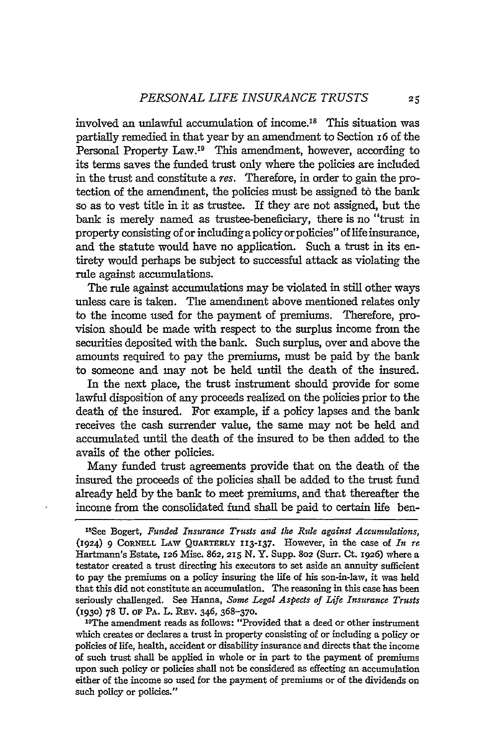involved an unlawful accumulation of income.<sup>18</sup> This situation was partially remedied in that year by an amendment to Section 16 of the Personal Property Law.<sup>19</sup> This amendment, however, according to its terms saves the funded trust only where the policies are included in the trust and constitute a res. Therefore, in order to gain the protection of the amendment, the policies must be assigned to the bank so as to vest title in it as trustee. If they are not assigned, but the bank is merely named as trustee-beneficiary, there is no "trust in property consisting of or including a policy or policies" of life insurance, and the statute would have no application. Such a trust in its entirety would perhaps be subject to successful attack as violating the rule against accumulations.

The rule against accumulations may be violated in still other ways unless care is taken. The amendment above mentioned relates only to the income used for the payment of premiums. Therefore, provision should be made with respect to the surplus income from the securities deposited with the bank. Such surplus, over and above the amounts required to pay the premiums, must be paid by the bank to someone and may not be held until the death of the insured.

In the next place, the trust instrument should provide for some lawful disposition of any proceeds realized on the policies prior to the death of the insured. For example, if a policy lapses and the bank receives the cash surrender value, the same may not be held and accumulated until the death of the insured to be then added to the avails of the other policies.

Many funded trust agreements provide that on the death of the insured the proceeds of the policies shall be added to the trust fund already held by the bank to meet premiums, and that thereafter the income from the consolidated fund shall be paid to certain life ben-

<sup>19</sup>The amendment reads as follows: "Provided that a deed or other instrument which creates or declares a trust in property consisting of or including a policy or policies of life, health, accident or disability insurance and directs that the income of such trust shall be applied in whole or in part to the payment of premiums upon such policy or policies shall not be considered as effecting an accumulation either of the income so used for the payment of premiums or of the dividends on such policy or policies."

<sup>&#</sup>x27; 8 See Bogert, *Funded Insurance Trusts and the Rule against Accumulations,* (1924) 9 CORNELL LAW QUARTERLY **113-I37.** However, in the case of *In re* Hartmann's Estate, 126 Misc. 862, **215** N. Y. Supp. **802** (Surr. Ct. **1926)** where a testator created a trust directing his executors to set aside an annuity sufficient to pay the premiums on a policy insuring the life of his son-in-law, it was held that this did not constitute an accumulation. The reasoning in this case has been seriously challenged. See Hanna, *Some Legal Aspects of Life Insurance Trusts* **(1930) 78** U. OF PA. L. REV. 346, 368-370.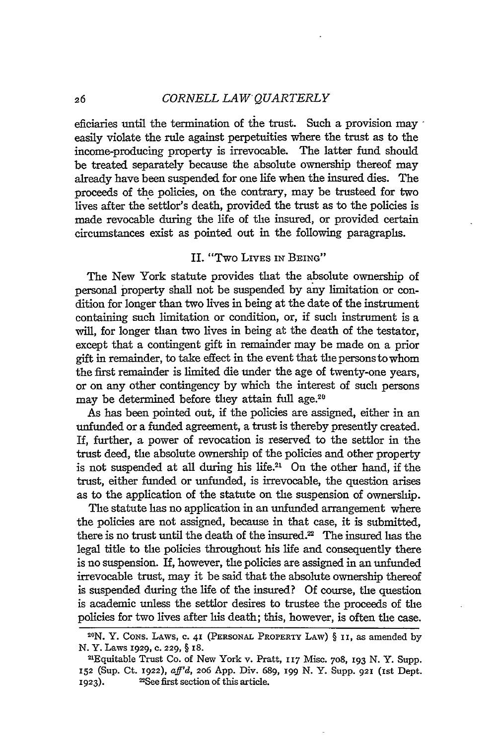#### 26 *CORNELL LAW QUARTERLY*

eficiaries until the termination of the trust. Such a provision may easily violate the rule against perpetuities where the trust as to the income-producing property is irrevocable. The latter fund should be treated separately because the absolute ownership thereof may already have been suspended for one life when the insured dies. The proceeds of the policies, on the contrary, may be trusteed for two lives after the settlor's death, provided the trust as to the policies is made revocable during the life of the insured, or provided certain circumstances exist as pointed out in the following paragraphs.

# II. "Two LIvEs IN BEING"

The New York statute provides that the absolute ownership of personal property shall not be suspended by any limitation or condition for longer than two lives in being at the date of the instrument containing such limitation or condition, or, if such instrument is a will, for longer than two lives in being at the death of the testator, except that a contingent gift in remainder may be made on a prior gift in remainder, to take effect in the event that the persons to whom the first remainder is limited die under the age of twenty-one years, or on any other contingency by which the interest of such persons may be determined before they attain full age.<sup>20</sup>

As has been pointed out, if the policies are assigned, either in an unfunded or a funded agreement, a trust is thereby presently created. If, further, a power of revocation is reserved to the settlor in the trust deed, the absolute ownership of the policies and other property is not suspended at all during his life. $21$  On the other hand, if the trust, either funded or unfunded, is irrevocable, the question arises as to the application of the statute on the suspension of ownership.

The statute has no application in an unfunded arrangement where the policies are not assigned, because in that case, it is submitted, there is no trust until the death of the insured.<sup>22</sup> The insured has the legal title to the policies throughout his life and consequently there is no suspension. If, however, the policies are assigned in an unfunded irrevocable trust, may it be said that the absolute ownership thereof is suspended during the life of the insured? Of course, the question is academic unless the settlor desires to trustee the proceeds of the policies for two lives after his death; this, however, is often the case.

**<sup>2</sup> 0 N.** Y. **CONS.** LAWS, **c. 41** (PERSONAL **PROPERTY** LAW) § **ii,** as amended **by** N. Y. Laws **1929, C. 229,** § **I8.**

<sup>2</sup> 'Equitable Trust Co. of New York v. Pratt, **II7** Misc. 708, **193** N. Y. Supp. **152** (Sup. Ct. 1922), *aff'd,* **206** App. Div. 689, **I99** N. Y. Supp. **921** (ist Dept. 1923). <sup>22</sup>See first section of this article.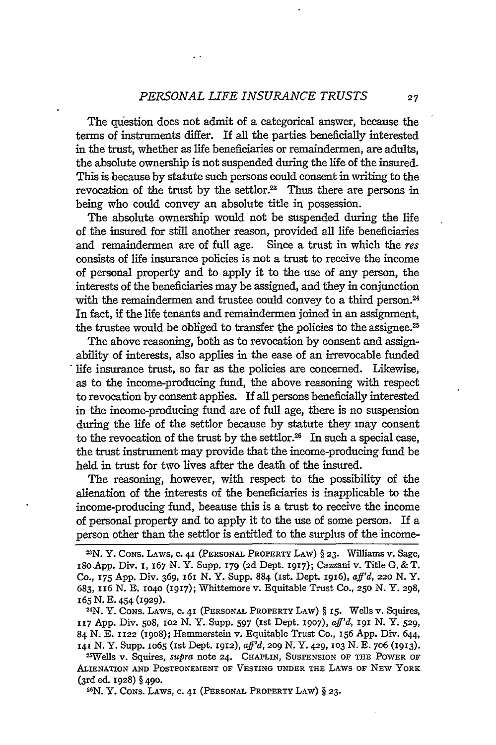The question does not admit of a categorical answer, because the terms of instruments differ. If all the parties beneficially interested in the trust, whether as life beneficiaries or remaindermen, are adults, the absolute ownership is not suspended during the life of the insured. This is because by statute such persons could consent in writing to the revocation of the trust by the settlor.<sup>23</sup> Thus there are persons in being who could convey an absolute title in possession.

The absolute ownership would not be suspended during the life of the insured for still another reason, provided all life beneficiaries and remaindermen are of full age. Since a trust in which the res consists of life insurance policies is not a trust to receive the income of personal property and to apply it to the use of any person, the interests of the beneficiaries may be assigned, and they in conjunction with the remaindermen and trustee could convey to a third person.<sup>24</sup> In fact, if the life tenants and remaindermen joined in an assignment, the trustee would be obliged to transfer the policies to the assignee.<sup>25</sup>

The above reasoning, both as to revocation by consent and assignability of interests, also applies in the case of an irrevocable funded life insurance trust, so far as the policies are concerned. Likewise, as to the income-producing fund, the above reasoning with respect to revocation by consent applies. If all persons beneficially interested in the income-producing fund are of full age, there is no suspension during the life of the settlor because by statute they may consent to the revocation of the trust by the settlor.<sup>26</sup> In such a special case, the trust instrument may provide that the income-producing fund be held in trust for two lives after the death of the insured.

The reasoning, however, with respect to the possibility of the alienation of the interests of the beneficiaries is inapplicable to the income-producing fund, because this is a trust to receive the income of personal property and to apply it to the use of some person. If a person other than the settlor is entitled to the surplus of the income-

**2 6 N.** Y. **CONS.** LAWS, **c.** 41 **(PERSONAL** PROPERTY LAW) § **23.**

**<sup>2</sup>N.** Y. **CONS.** LAWS, **c. 41** (PERSONAL PROPERTY LAW) § **23.** Williams v. Sage, i8o.App. Div. **I,** 167 N. Y. Supp. **179 (2d** Dept. 1917); Cazzani v. Title G. &T. **Co., 175 App.** Div. 369, x61 N. Y. Supp. **884** (Ist. Dept. 19x6), *aff'd, 220* N. Y. **683,** x16 N. **E. 1040** (1917); Whittemore v. Equitable Trust **Co., 250** N. Y. **298,** <sup>165</sup>N. E. 454 (1929).

<sup>2</sup> 4 N. Y. **CONS.** LAWS, c. **41 (PERSONAL** PROPERTY LAW) § 15. Wells v. Squires, **117 App.** Div. 5o8, **102** N. *Y..* Supp. 597 (Ist Dept. **1907),** *aff'd, 191* N. Y. **529,** 84 N. E. **1122** (19o8); Hammerstein v. Equitable Trust Co., **156** App. Div. 644, **I41** N. Y. Supp. IO65 (Ist Dept. **1912),** *aff'd, 2o9* N. Y. 429, **103** N. E. 7o6 (1913). **<sup>25</sup>**

**Wells v.** Squires, *supra* note **24.** CHAPLIN, **SUSPENSION OF THE** POWER **OF** ALIENATION **AND POSTPONEMENT OF VESTING UNDER THE** LAWS **OF NEW YORK (3rd** ed. **1928)** § 49o.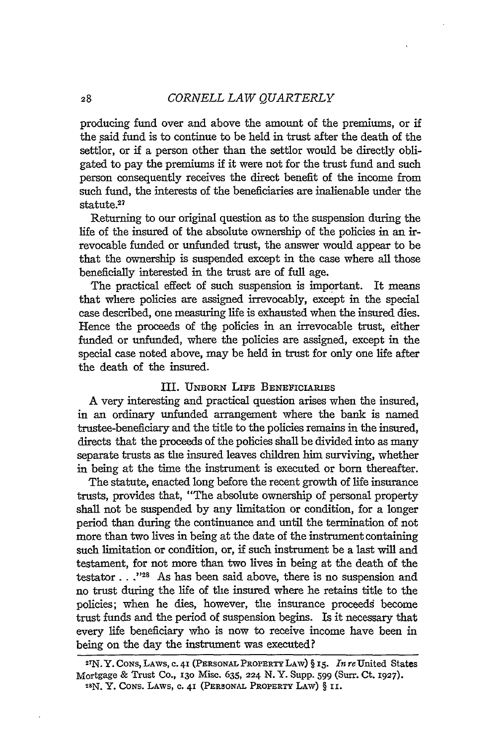producing fund over and above the amount of the premiums, or if the said fund is to continue to be held in trust after the death of the settlor, or if a person other than the settlor would be directly obligated to pay the premiums if it were not for the trust fund and such person consequently receives the direct benefit of the income from such fund, the interests of the beneficiaries are inalienable under the statute.27

Returning to our original question as to the suspension during the life of the insured of the absolute ownership of the policies in an irrevocable funded or unfunded trust, the answer would appear to be that the ownership is suspended except in the case where all those beneficially interested in the trust are of full age.

The practical effect of such suspension is important. It means that where policies are assigned irrevocably, except in the special case described, one measuring life is exhausted when the insured dies. Hence the proceeds of the policies in an irrevocable trust, either funded or unfunded, where the policies are assigned, except in the special case noted above, may be held in trust for only one life after the death of the insured.

# III. UNBoRN LIFE BENEFICIARIES

A very interesting and practical question arises when the insured, in an ordinary unfunded arrangement where the bank is named trustee-beneficiary and the title to the policies remains in the insured, directs that the proceeds of the policies shall be divided into as many separate trusts as the insured leaves children him surviving, whether in being at the time the instrument is executed or born thereafter.

The statute, enacted long before the recent growth of life insurance trusts, provides that, "The absolute ownership of personal property shall not be suspended **by** any limitation or condition, for a longer period than during the continuance and until the termination of not more than two lives in being at the date of the instrument containing such limitation or condition, or, if such instrument be a last will and testament, for not more than two lives in being at the death of the testator...<sup>"28</sup> As has been said above, there is no suspension and no trust during the life of the insured where he retains title to the policies; when he dies, however, the insurance proceeds become trust funds and the period of suspension begins. Is it necessary that every life beneficiary who is now to receive income have been in being on the day the instrument was executed?

**<sup>2</sup>7 N.** Y. CONS, LAWS, c. **41 (PERSONAL** PROPERTY LAW) **§** x5. *In* reUnited States Mortgage & Trust Co., **130** Misc. **635, 224 N.** Y. Supp. **599** (Surr. Ct. **1927). 2SN.** Y. CONS. LAWS, **c.** 41 (PERSONAL PROPERTY LAW) § **ii.**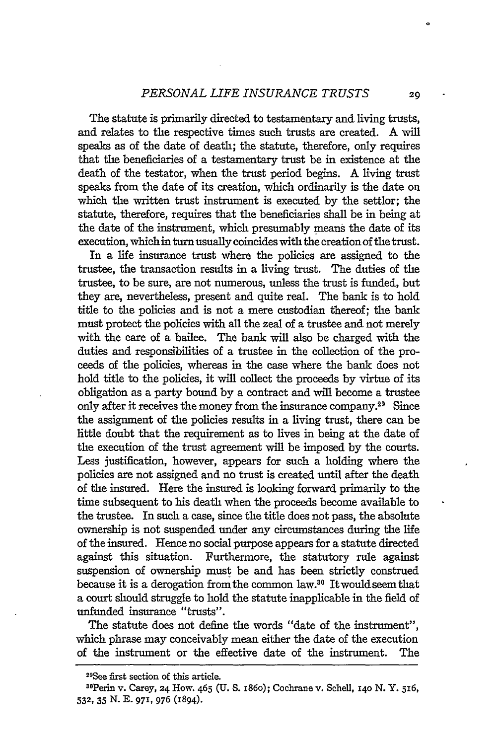The statute is primarily directed to testamentary and living trusts, and relates to the respective times such trusts are created. A **Will** speaks as of the date of death; the statute, therefore, only requires that the beneficiaries of a testamentary trust be in existence at the death of the testator, when the trust period begins. A living trust speaks from the date of its creation, which ordinarily is the date on which the written trust instrument is executed by the settlor; the statute, therefore, requires that the beneficiaries shall be in being at the date of the instrument, which presumably means the date of its execution, which in turn usually coincides with the creation of the trust.

In a life insurance trust where the policies are assigned to the trustee, the transaction results in a living trust. The duties of the trustee, to be sure, are not numerous, unless the trust is funded, but they are, nevertheless, present and quite real. The bank is to hold title to the policies and is not a mere custodian thereof; the bank must protect the policies with all the zeal of a trustee and not merely with the care of a bailee. The bank will also be charged with the duties and responsibilities of a trustee in the collection of the proceeds of the policies, whereas in the case where the bank does not hold title to the policies, it will collect the proceeds **by** virtue of its obligation as a party bound **by** a contract and will become a trustee only after it receives the money from the insurance company.29 Since the assignment of the policies results in a living trust, there can be little doubt that the requirement as to lives in being at the date of the execution of the trust agreement will be imposed by the courts. Less justification, however, appears for such a holding where the policies are not assigned and no trust is created until after the death of the insured. Here the insured is looking forward primarily to the time subsequent to his death when the proceeds become available to the trustee. In such a case, since the title does not pass, the absolute ownership is not suspended under any circumstances during the life of the insured. Hence no social purpose appears for a statute directed against this situation. Furthermore, the statutory rule against suspension of ownership must be and has been strictly construed because it is a derogation fromthe common law.30 Itwouldseemthat a court should struggle to hold the statute inapplicable in the field of unfunded insurance "trusts".

The statute does not define the words "date of the instrument", which phrase may conceivably mean either the date of the execution of the instrument or the effective date of the instrument. The

2

<sup>&</sup>lt;sup>29</sup>See first section of this article.

**<sup>3</sup>OPerin** v. Carey, **24** How. 465 **(U. S.** i86o); Cochrane v. Schell, **i4o N.** Y. 516, **532, 35** N. **E.** 971, 976 (1894).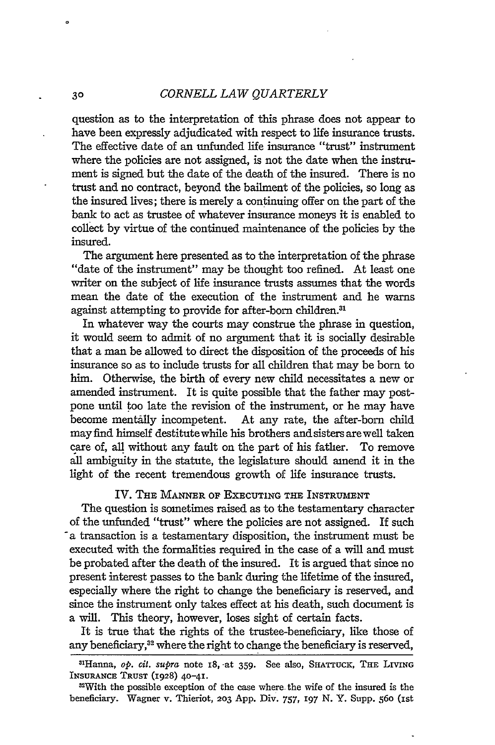question as to the interpretation of this phrase does not appear to have been expressly adjudicated with respect to life insurance trusts. The effective date of an unfunded life insurance "trust" instrument where the policies are not assigned, is not the date when the instrument is signed but the date of the death of the insured. There is no trust and no contract, beyond the bailment of the policies, so long as the insured lives; there is merely a continuing offer on the part of the bank to act as trustee of whatever insurance moneys it is enabled to collect by virtue of the continued maintenance of the policies by the insured.

The argument here presented as to the interpretation of the phrase "date of the instrument" may be thought too refined. At least one writer on the subject of life insurance trusts assumes that the words mean the date of the execution of the instrument and he warns against attempting to provide for after-born children.<sup>31</sup>

In whatever way the courts may construe the phrase in question, it would seem to admit of no argument that it is socially desirable that a man be allowed to direct the disposition of the proceeds of his insurance so as to include trusts for all children that may be born to him. Otherwise, the birth of every new child necessitates a new or amended instrument. It is quite possible that the father may postpone until too late the revision of the instrument, or he may have become mentaily incompetent. At any rate, the after-born child mayfind himself destitute while his brothers and sisters are well taken care of, all without any fault on the part of his father. To remove all ambiguity in the statute, the legislature should amend it in the light of the recent tremendous growth of life insurance trusts.

#### IV. THE **MANNER OF EXECUTING THE INSTRUMENT**

The question is sometimes raised as to the testamentary character of the unfunded "trust" where the policies are not assigned. If such -a transaction is a testamentary disposition, the instrument must be executed with the formalities required in the case of a will and must be probated after the death of the insured. It is argued that since no present interest passes to the bank during the lifetime of the insured, especially where the right to change the beneficiary is reserved, and since the instrument only takes effect at his death, such document is a will. This theory, however, loses sight of certain facts.

It is true that the rights of the trustee-beneficiary, like those of any beneficiary,<sup>32</sup> where the right to change the beneficiary is reserved,

 $3<sup>o</sup>$ 

<sup>31</sup> Hanna, *op. cit. supra* note 18, -at **359.** See also, SHATTUCK, **THE LIVING** INSURANCE TRUST (1928) **40-41.**

 $32$ With the possible exception of the case where the wife of the insured is the beneficiary. Wagner v. Thieriot, 203 App. Div. 757, 197 N. Y. Supp. 560 (1st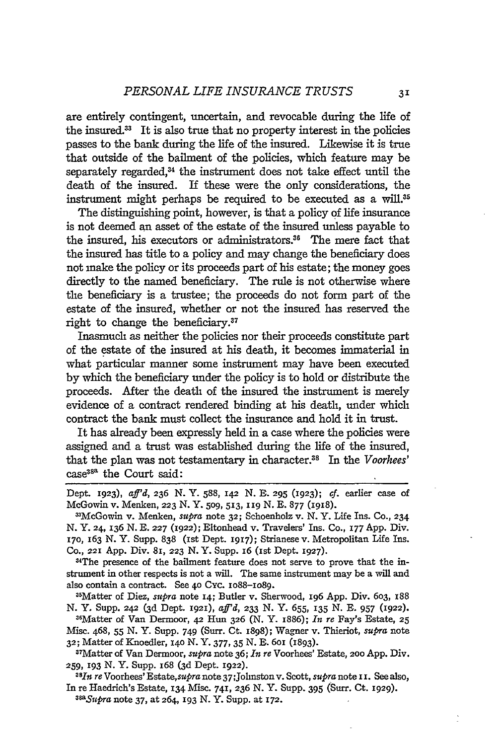are entirely contingent, uncertain, and revocable during the life of the insured." It is also true that no property interest in the policies passes to the bank during the life of the insured. Likewise it is true that outside of the bailment of the policies, which feature may be separately regarded, $34$  the instrument does not take effect until the death of the insured. If these were the only considerations, the instrument might perhaps be required to be executed as a will.<sup>35</sup>

The distinguishing point, however, is that a policy of life insurance is not deemed an asset of the estate of the insured unless payable to the insured, his executors or administrators." The mere fact that the insured has title to a policy and may change the beneficiary does not make the policy or its proceeds part of his estate; the money goes directly to the named beneficiary. The rule is not otherwise where the beneficiary is a trustee; the proceeds do not form part of the estate of the insured, whether or not the insured has reserved the right to change the beneficiary.37

Inasmuch as neither the policies nor their proceeds constitute part of the estate of the insured at his death, it becomes immaterial in what particular manner some instrument may have been executed by which the beneficiary under the policy is to hold or distribute the proceeds. After the death of the insured the instrument is merely evidence of a contract rendered binding at his death, under which contract the bank must collect the insurance and hold it in trust.

It has already been expressly held in a case where the policies were assigned and a trust was established during the life of the insured, that the plan was not testamentary in character.38 In the *Voorhees'* case<sup>38</sup><sup>a</sup> the Court said:

Dept. **1923),** *aff'd, 236* N. Y. 588, **I42** N. E. **295 (1923);** *cf.* earlier case of McGowin v. Menken, **223** N. Y. **509, 513, 119** N. **E.** 877 (1918).

nMcGowin v. Menken, *supra* note **32;** Schoenholz v. N. Y. Life Ins. **Co., 234** N. Y. 24, **136** N. E. **227** (1922); Eltonhead v. Travelers' Ins. Co., **I77** App. Div. **170,** 163 **N.** Y. Supp. **838** (ist Dept. 1917); Strianesev. Metropolitan Life Ins. Co., **221** App. Div. 8i, **223** N. Y. Supp. **I6** (1st Dept. **1927).**

3"The presence of the bailment feature does not serve to prove that the instrument in other respects is not a will. The same instrument may be a will and also contain a contract. See 40 Cyc. IO88-IO89.

3 5 Matter of Diez, *supra* note **I4;** Butler v. Sherwood, **196** App. Div. **603,** 188 N. Y. Supp. 242 (3d Dept. **1921),** *aff'd,* **233** N. Y. 655, **135** N. **E. 957 (1922).**

31Matter of Van Dermoor, 42 Hun **326** (N. Y. 1886); *In re* Fay's Estate, **25** Misc. 468, 55 N. Y. Supp. 749 (Surr. Ct. 1898); Wagner v. Thieriot, *supra* note **32;** Matter of Knoedler, i4o N. Y. **377, 35** N. E. 6oi (1893).

17Matter of Van Dermoor, *supra* note 36; *In re* Voorhees' Estate, 2oo App. Div. **259, 193** N. Y. Supp. 168 (3d Dept. 1922).

*38Itt re* Voorhees' Estate,supra note 37;Johnston v. Scott, *supra* note **ii.** See also, In re Haedrich's Estate, **134** Misc. 741, **236** N. Y. Supp. **395** (Surr. Ct. **1929).**

*asupra* note **37,** at 264, **193** N. Y. Supp. at **172.**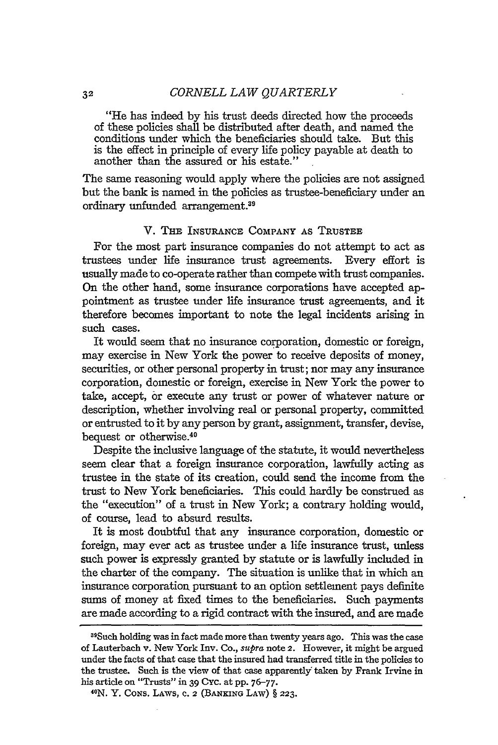"He has indeed by his trust deeds directed how the proceeds of these policies shall be distributed after death, and named the conditions under which the beneficiaries should take. But this is the effect in principle of every life policy payable at death to another than the assured or his estate."

The same reasoning would apply where the policies are not assigned but the bank is named in the policies as trustee-beneficiary under an ordinary unfunded arrangement. <sup>39</sup>

#### V. THE **INSURANCE** COMPANY AS TRUSTEE

For the most part insurance companies do not attempt to act as trustees under life insurance trust agreements. Every effort is usually made to co-operate rather than compete with trust companies. On the other hand, some insurance corporations have accepted appointment as trustee under life insurance trust agreements, and it therefore becomes important to note the legal incidents arising in such cases.

It would seem that no insurance corporation, domestic or foreign, may exercise in New York the power to receive deposits of money, securities, or other personal property in trust; nor may any insurance corporation, domestic or foreign, exercise in New York the power to take, accept, or execute any trust or power of whatever nature or description, whether involving real or personal property, committed or entrusted to it by any person by grant, assignment, transfer, devise, bequest or otherwise.40

Despite the inclusive language of the statute, it would nevertheless seem clear that a foreign insurance corporation, lawfully acting as trustee in the state of its creation, could send the income from the trust to New York beneficiaries. This could hardly be construed as the "execution" of a trust in New York; a contrary holding would, of course, lead to absurd results.

It is most doubtful that any insurance corporation, domestic or foreign, may ever act as trustee under a life insurance trust, unless such power is expressly granted by statute or is lawfully included in the charter of the company. The situation is unlike that in which an insurance corporation pursuant to an option settlement pays definite sums of money at fixed times to the beneficiaries. Such payments are made according to a rigid contract with the insured, and are made

<sup>3</sup> 9 Such holding was in fact made more than twenty years ago. This was the case of Lauterbach v. New York Inv. Co., *supra* note 2. However, it might be argued under the facts of that case that the insured had transferred title in the policies to the trustee. Such is the view of that case apparently taken by Frank Irvine in his article on "Trusts" in 39 Cyc. at pp. 76-77.

N. Y. CONS. LAWS, **C.** 2 (BANKING LAW) § **223.**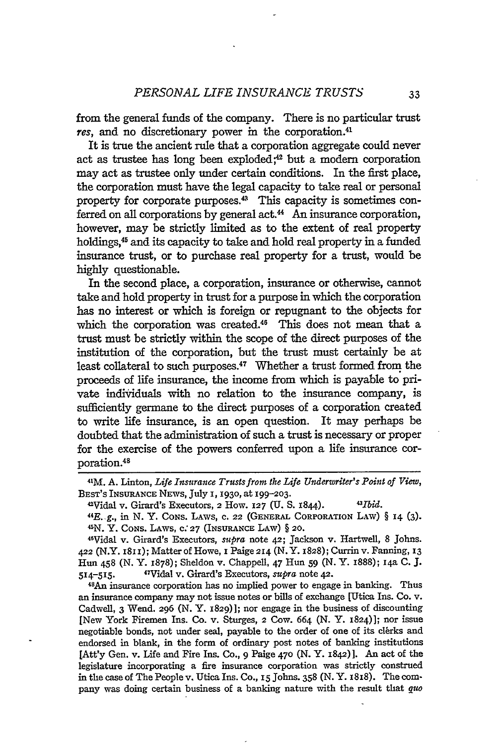from the general funds of the company. There is no particular trust res, and no discretionary power in the corporation.<sup>41</sup>

It is true the ancient rule that a corporation aggregate could never act as trustee has long been exploded; $42$  but a modern corporation may act as trustee only under certain conditions. In the first place, the corporation must have the legal capacity to take real or personal property for corporate purposes.<sup>43</sup> This capacity is sometimes conferred on all corporations by general act.44 An insurance corporation, however, may be strictly limited as to the extent of real property holdings,45 and its capacity to take and hold real property in a funded insurance trust, or to purchase real property for a trust, would be highly questionable.

In the second place, a corporation, insurance or otherwise, cannot take and hold property in trust for a purpose in which the corporation has no interest or which is foreign or repugnant to the objects for which the corporation was created.<sup>46</sup> This does not mean that a trust must be strictly within the scope of the direct purposes of the institution of the corporation, but the trust must certainly be at least collateral to such purposes.<sup>47</sup> Whether a trust formed from the proceeds of life insurance, the income from which is payable to private individuals with no relation to the insurance company, is sufficiently germane to the direct purposes of a corporation created to write life insurance, is an open question. It may perhaps be doubted that the administration of such a trust is necessary or proper for the exercise of the powers conferred upon a life insurance corporation.45

4'Vidal v. Girard's Executors, *supra* note 42; Jackson v. Hartwell, 8 Johns. **422** (N.Y. 1811); Matter of Howe, **I** Paige **214** (N. Y. 1828); Currin v. Fanning, 13 Hun 458 (N. Y. 1878); Sheldon v. Chappell, 47 Hun 59 (N. Y. 1888); 14a **C.** J.  $514 - 515.$ Vidal v. Girard's Executors, *supra* note 42. *<sup>48</sup>*

*An* insurance corporation has no implied power to engage in banking. Thus an insurance company may not issue notes or bills of exchange [Utica Ins. **Co. v.** Cadwell, 3 Wend. 296 (N. Y. 1829)]; nor engage in the business of discounting [New York Firemen Ins. Co. v. Sturges, **2** Cow. 664 (N. Y. 1824)]; nor issue negotiable bonds, not under seal, payable to the order of one of its clerks and endorsed in blank, in the form of ordinary post notes of banking institutions [Att'y Gen. v. Life and Fire Ins. Co., **9** Paige 47o (N. Y. 1842)]. An act of the legislature incorporating a fire insurance corporation was strictly construed in the case of The People v. Utica Ins. Co., **15** Johns. 358 (N.Y. 1818). The company was doing certain business of a banking nature with the result that *quo*

<sup>4</sup> 1M. **A.** Linton, *Life Insurance Trusts from the Life Underwriter's Point of View,* BEST'S INSURANCE NEWS, July I, 1930, at 199-203.

<sup>2</sup>Vidal v. Girard's Executors, 2 How. **127 (U. S.** 1844). *43/bid.* <sup>44</sup>

E.-g., in N. Y. CONS. LAWS, **C. 22 (GENERAL** CORPORATION LAW) § 14 (3). <sup>45</sup> N. Y. CONS. LAWS, **C." 27** (INSURANCE LAW) § 20.